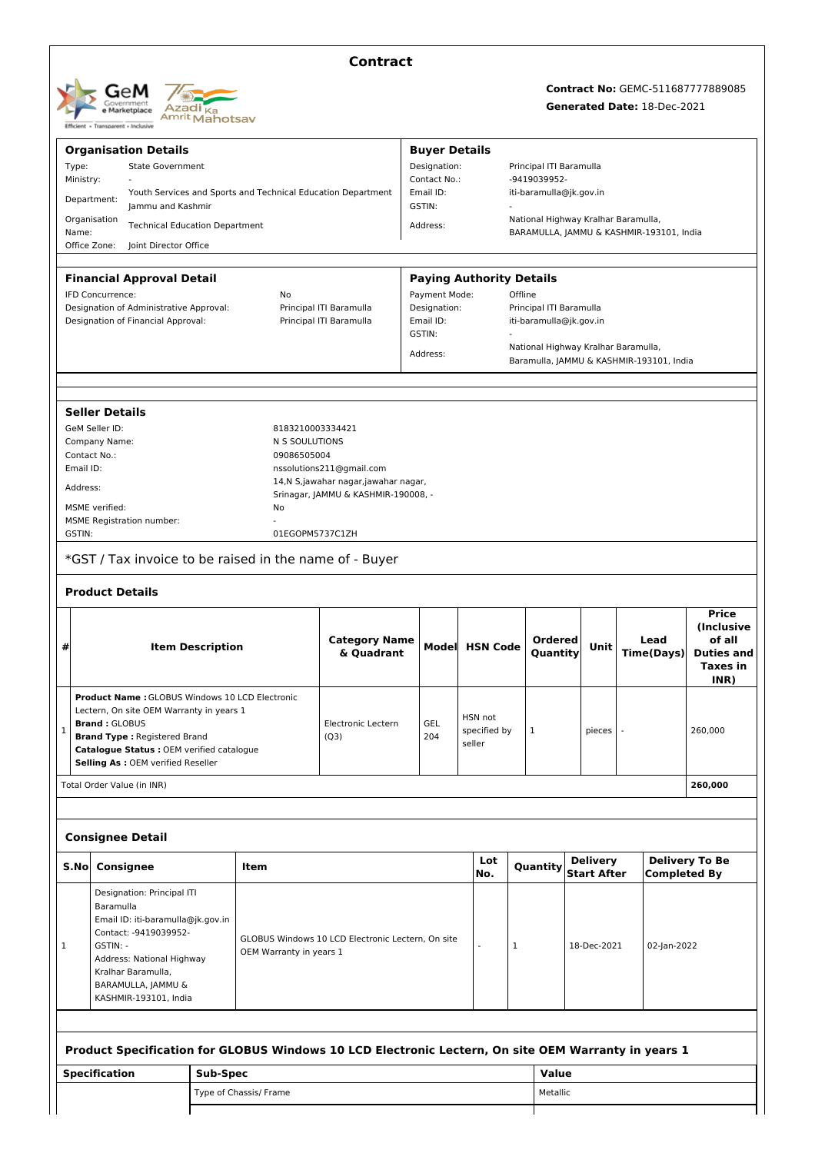| GeM<br>Government<br>e Marketplace<br>Transparent - Inclusive<br><b>Efficient +</b> | Azadi <sub>Ka</sub><br><sup>Amrit</sup> Mahotsav |
|-------------------------------------------------------------------------------------|--------------------------------------------------|
|-------------------------------------------------------------------------------------|--------------------------------------------------|

## **Contract**

## **Contract No:** GEMC-511687777889085

## **Generated Date:** 18-Dec-2021

| <b>Organisation Details</b>                                                                  |                                                                                                  |                                                                                  |                         |                                                                                                     |                                                                            | <b>Buyer Details</b>         |                     |                                 |                                         |          |                                     |  |                                          |                       |
|----------------------------------------------------------------------------------------------|--------------------------------------------------------------------------------------------------|----------------------------------------------------------------------------------|-------------------------|-----------------------------------------------------------------------------------------------------|----------------------------------------------------------------------------|------------------------------|---------------------|---------------------------------|-----------------------------------------|----------|-------------------------------------|--|------------------------------------------|-----------------------|
| Type:                                                                                        | <b>State Government</b><br>Ministry:                                                             |                                                                                  |                         |                                                                                                     |                                                                            | Designation:<br>Contact No.: |                     |                                 | Principal ITI Baramulla<br>-9419039952- |          |                                     |  |                                          |                       |
|                                                                                              | Youth Services and Sports and Technical Education Department<br>Department:<br>Jammu and Kashmir |                                                                                  |                         |                                                                                                     |                                                                            |                              | Email ID:<br>GSTIN: |                                 |                                         |          | iti-baramulla@jk.gov.in             |  |                                          |                       |
| Organisation<br>Name:                                                                        |                                                                                                  | <b>Technical Education Department</b>                                            |                         |                                                                                                     |                                                                            | Address:                     |                     |                                 |                                         |          | National Highway Kralhar Baramulla, |  | BARAMULLA, JAMMU & KASHMIR-193101, India |                       |
| Office Zone:                                                                                 |                                                                                                  | Joint Director Office                                                            |                         |                                                                                                     |                                                                            |                              |                     |                                 |                                         |          |                                     |  |                                          |                       |
|                                                                                              |                                                                                                  |                                                                                  |                         |                                                                                                     |                                                                            |                              |                     |                                 |                                         |          |                                     |  |                                          |                       |
|                                                                                              |                                                                                                  | <b>Financial Approval Detail</b>                                                 |                         |                                                                                                     |                                                                            |                              |                     | <b>Paying Authority Details</b> |                                         |          |                                     |  |                                          |                       |
|                                                                                              | IFD Concurrence:                                                                                 |                                                                                  |                         | No                                                                                                  |                                                                            | Payment Mode:                |                     |                                 | Offline                                 |          |                                     |  |                                          |                       |
|                                                                                              |                                                                                                  | Designation of Administrative Approval:                                          |                         |                                                                                                     | Principal ITI Baramulla                                                    | Designation:                 |                     |                                 |                                         |          | Principal ITI Baramulla             |  |                                          |                       |
|                                                                                              |                                                                                                  | Designation of Financial Approval:                                               |                         |                                                                                                     | Principal ITI Baramulla                                                    | Email ID:                    |                     |                                 | iti-baramulla@jk.gov.in                 |          |                                     |  |                                          |                       |
|                                                                                              |                                                                                                  |                                                                                  |                         |                                                                                                     |                                                                            | GSTIN:                       |                     |                                 |                                         |          | National Highway Kralhar Baramulla, |  |                                          |                       |
|                                                                                              |                                                                                                  |                                                                                  |                         |                                                                                                     |                                                                            | Address:                     |                     |                                 |                                         |          |                                     |  | Baramulla, JAMMU & KASHMIR-193101, India |                       |
|                                                                                              |                                                                                                  |                                                                                  |                         |                                                                                                     |                                                                            |                              |                     |                                 |                                         |          |                                     |  |                                          |                       |
|                                                                                              |                                                                                                  |                                                                                  |                         |                                                                                                     |                                                                            |                              |                     |                                 |                                         |          |                                     |  |                                          |                       |
|                                                                                              | <b>Seller Details</b>                                                                            |                                                                                  |                         |                                                                                                     |                                                                            |                              |                     |                                 |                                         |          |                                     |  |                                          |                       |
|                                                                                              | GeM Seller ID:                                                                                   |                                                                                  |                         | 8183210003334421                                                                                    |                                                                            |                              |                     |                                 |                                         |          |                                     |  |                                          |                       |
|                                                                                              | Company Name:                                                                                    |                                                                                  |                         | N S SOULUTIONS                                                                                      |                                                                            |                              |                     |                                 |                                         |          |                                     |  |                                          |                       |
| Contact No.:                                                                                 |                                                                                                  |                                                                                  |                         | 09086505004                                                                                         |                                                                            |                              |                     |                                 |                                         |          |                                     |  |                                          |                       |
| Email ID:                                                                                    |                                                                                                  |                                                                                  |                         |                                                                                                     | nssolutions211@gmail.com                                                   |                              |                     |                                 |                                         |          |                                     |  |                                          |                       |
| Address:                                                                                     |                                                                                                  |                                                                                  |                         |                                                                                                     | 14,N S,jawahar nagar,jawahar nagar,<br>Srinagar, JAMMU & KASHMIR-190008, - |                              |                     |                                 |                                         |          |                                     |  |                                          |                       |
|                                                                                              | MSME verified:                                                                                   |                                                                                  |                         | No                                                                                                  |                                                                            |                              |                     |                                 |                                         |          |                                     |  |                                          |                       |
|                                                                                              |                                                                                                  | <b>MSME Registration number:</b>                                                 |                         |                                                                                                     |                                                                            |                              |                     |                                 |                                         |          |                                     |  |                                          |                       |
| GSTIN:                                                                                       |                                                                                                  |                                                                                  |                         | 01EGOPM5737C1ZH                                                                                     |                                                                            |                              |                     |                                 |                                         |          |                                     |  |                                          |                       |
|                                                                                              |                                                                                                  |                                                                                  |                         |                                                                                                     | *GST / Tax invoice to be raised in the name of - Buyer                     |                              |                     |                                 |                                         |          |                                     |  |                                          |                       |
|                                                                                              |                                                                                                  | <b>Product Details</b>                                                           |                         |                                                                                                     |                                                                            |                              |                     |                                 |                                         |          |                                     |  |                                          |                       |
|                                                                                              |                                                                                                  |                                                                                  |                         |                                                                                                     |                                                                            |                              |                     |                                 |                                         |          |                                     |  |                                          |                       |
|                                                                                              |                                                                                                  |                                                                                  |                         |                                                                                                     |                                                                            |                              |                     |                                 |                                         |          |                                     |  |                                          | Price                 |
|                                                                                              |                                                                                                  |                                                                                  |                         |                                                                                                     | <b>Category Name</b>                                                       |                              |                     |                                 |                                         | Ordered  |                                     |  | Lead                                     | (Inclusive<br>of all  |
| #                                                                                            |                                                                                                  |                                                                                  | <b>Item Description</b> |                                                                                                     | & Quadrant                                                                 |                              | <b>Model</b>        | <b>HSN Code</b>                 |                                         | Quantity | Unit                                |  | <b>Time(Days)</b>                        | <b>Duties and</b>     |
|                                                                                              |                                                                                                  |                                                                                  |                         |                                                                                                     |                                                                            |                              |                     |                                 |                                         |          |                                     |  |                                          | <b>Taxes in</b>       |
|                                                                                              |                                                                                                  |                                                                                  |                         |                                                                                                     |                                                                            |                              |                     |                                 |                                         |          |                                     |  |                                          | INR)                  |
|                                                                                              |                                                                                                  |                                                                                  |                         | <b>Product Name: GLOBUS Windows 10 LCD Electronic</b>                                               |                                                                            |                              |                     |                                 |                                         |          |                                     |  |                                          |                       |
|                                                                                              |                                                                                                  | Lectern, On site OEM Warranty in years 1                                         |                         |                                                                                                     |                                                                            |                              |                     | HSN not                         |                                         |          |                                     |  |                                          |                       |
| 1                                                                                            | <b>Brand: GLOBUS</b>                                                                             |                                                                                  |                         |                                                                                                     | <b>Electronic Lectern</b>                                                  | <b>GEL</b>                   |                     | specified by                    | 1                                       |          | pieces                              |  |                                          | 260.000               |
|                                                                                              |                                                                                                  | <b>Brand Type: Registered Brand</b><br>Catalogue Status : OEM verified catalogue |                         |                                                                                                     | (Q3)                                                                       | 204                          |                     | seller                          |                                         |          |                                     |  |                                          |                       |
|                                                                                              |                                                                                                  | Selling As : OEM verified Reseller                                               |                         |                                                                                                     |                                                                            |                              |                     |                                 |                                         |          |                                     |  |                                          |                       |
|                                                                                              |                                                                                                  | Total Order Value (in INR)                                                       |                         |                                                                                                     |                                                                            |                              |                     |                                 |                                         |          |                                     |  |                                          | 260,000               |
|                                                                                              |                                                                                                  |                                                                                  |                         |                                                                                                     |                                                                            |                              |                     |                                 |                                         |          |                                     |  |                                          |                       |
|                                                                                              |                                                                                                  |                                                                                  |                         |                                                                                                     |                                                                            |                              |                     |                                 |                                         |          |                                     |  |                                          |                       |
|                                                                                              |                                                                                                  | <b>Consignee Detail</b>                                                          |                         |                                                                                                     |                                                                            |                              |                     |                                 |                                         |          |                                     |  |                                          |                       |
| S.No                                                                                         |                                                                                                  | <b>Consignee</b>                                                                 |                         | Item                                                                                                |                                                                            |                              |                     | Lot                             |                                         | Quantity | <b>Delivery</b>                     |  |                                          | <b>Delivery To Be</b> |
|                                                                                              |                                                                                                  |                                                                                  |                         |                                                                                                     |                                                                            |                              |                     | No.                             |                                         |          | <b>Start After</b>                  |  | <b>Completed By</b>                      |                       |
|                                                                                              |                                                                                                  | Designation: Principal ITI                                                       |                         |                                                                                                     |                                                                            |                              |                     |                                 |                                         |          |                                     |  |                                          |                       |
|                                                                                              | Baramulla                                                                                        |                                                                                  |                         |                                                                                                     |                                                                            |                              |                     |                                 |                                         |          |                                     |  |                                          |                       |
|                                                                                              |                                                                                                  | Email ID: iti-baramulla@jk.gov.in                                                |                         |                                                                                                     |                                                                            |                              |                     |                                 |                                         |          |                                     |  |                                          |                       |
| Contact: - 9419039952-<br>GLOBUS Windows 10 LCD Electronic Lectern, On site<br>GSTIN: -<br>1 |                                                                                                  |                                                                                  |                         |                                                                                                     |                                                                            | 1                            |                     | 18-Dec-2021                     |                                         |          | 02-Jan-2022                         |  |                                          |                       |
|                                                                                              | OEM Warranty in years 1<br>Address: National Highway                                             |                                                                                  |                         |                                                                                                     |                                                                            |                              |                     |                                 |                                         |          |                                     |  |                                          |                       |
|                                                                                              | Kralhar Baramulla,                                                                               |                                                                                  |                         |                                                                                                     |                                                                            |                              |                     |                                 |                                         |          |                                     |  |                                          |                       |
|                                                                                              | BARAMULLA, JAMMU &                                                                               |                                                                                  |                         |                                                                                                     |                                                                            |                              |                     |                                 |                                         |          |                                     |  |                                          |                       |
| KASHMIR-193101, India                                                                        |                                                                                                  |                                                                                  |                         |                                                                                                     |                                                                            |                              |                     |                                 |                                         |          |                                     |  |                                          |                       |
|                                                                                              |                                                                                                  |                                                                                  |                         |                                                                                                     |                                                                            |                              |                     |                                 |                                         |          |                                     |  |                                          |                       |
|                                                                                              |                                                                                                  |                                                                                  |                         |                                                                                                     |                                                                            |                              |                     |                                 |                                         |          |                                     |  |                                          |                       |
|                                                                                              |                                                                                                  |                                                                                  |                         | Product Specification for GLOBUS Windows 10 LCD Electronic Lectern, On site OEM Warranty in years 1 |                                                                            |                              |                     |                                 |                                         |          |                                     |  |                                          |                       |
|                                                                                              | <b>Specification</b>                                                                             |                                                                                  | Sub-Spec                |                                                                                                     |                                                                            |                              |                     |                                 |                                         | Value    |                                     |  |                                          |                       |
|                                                                                              |                                                                                                  |                                                                                  |                         |                                                                                                     |                                                                            |                              |                     |                                 |                                         |          |                                     |  |                                          |                       |
|                                                                                              |                                                                                                  |                                                                                  |                         | Type of Chassis/ Frame                                                                              |                                                                            |                              |                     |                                 |                                         | Metallic |                                     |  |                                          |                       |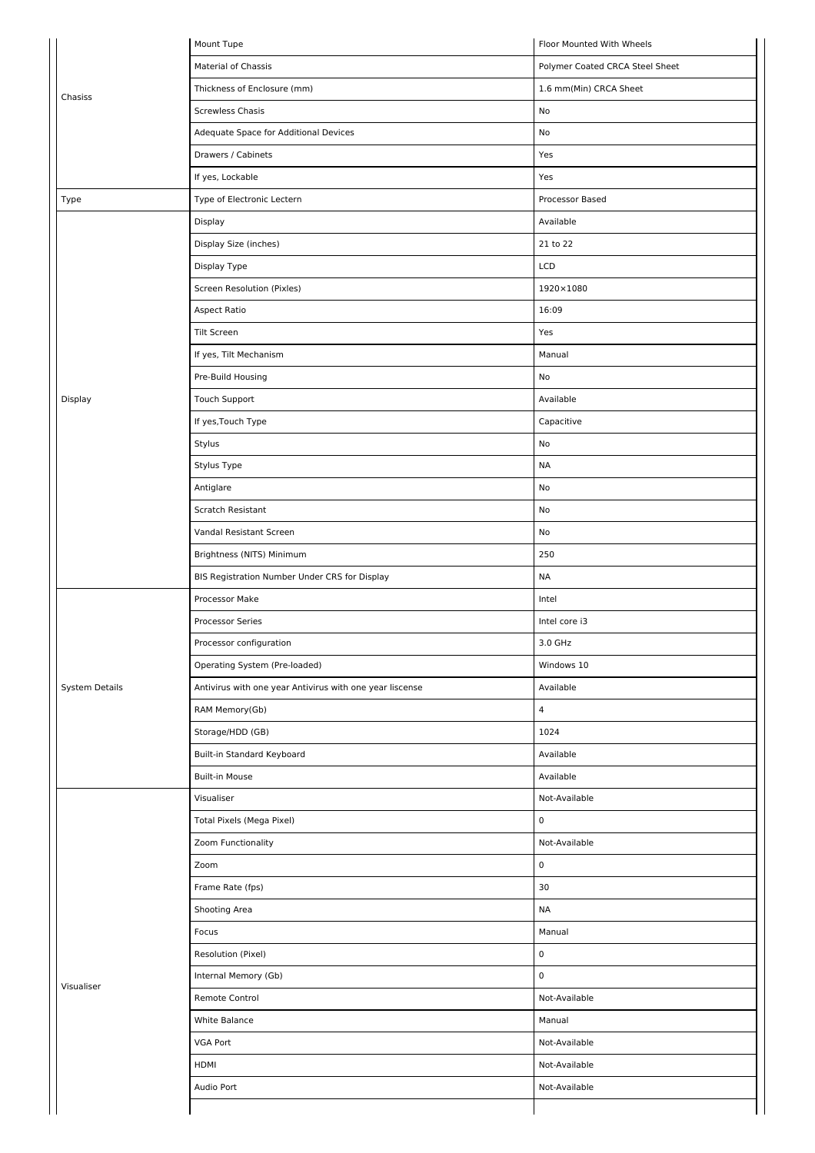|                       | Mount Tupe                                               | Floor Mounted With Wheels       |
|-----------------------|----------------------------------------------------------|---------------------------------|
|                       | Material of Chassis                                      | Polymer Coated CRCA Steel Sheet |
| Chasiss               | Thickness of Enclosure (mm)                              | 1.6 mm(Min) CRCA Sheet          |
|                       | <b>Screwless Chasis</b>                                  | No                              |
|                       | Adequate Space for Additional Devices                    | No                              |
|                       | Drawers / Cabinets                                       | Yes                             |
|                       | If yes, Lockable                                         | Yes                             |
| Type                  | Type of Electronic Lectern                               | Processor Based                 |
|                       | Display                                                  | Available                       |
|                       | Display Size (inches)                                    | 21 to 22                        |
|                       | Display Type                                             | LCD                             |
|                       | Screen Resolution (Pixles)                               | 1920×1080                       |
|                       | Aspect Ratio                                             | 16:09                           |
|                       | <b>Tilt Screen</b>                                       | Yes                             |
|                       | If yes, Tilt Mechanism                                   | Manual                          |
|                       | Pre-Build Housing                                        | No                              |
| Display               | Touch Support                                            | Available                       |
|                       | If yes, Touch Type                                       | Capacitive                      |
|                       | Stylus                                                   | No                              |
|                       | Stylus Type                                              | <b>NA</b>                       |
|                       | Antiglare                                                | No                              |
|                       | Scratch Resistant                                        | No                              |
|                       | Vandal Resistant Screen                                  | No                              |
|                       | Brightness (NITS) Minimum                                | 250                             |
|                       | BIS Registration Number Under CRS for Display            | <b>NA</b>                       |
|                       | Processor Make                                           | Intel                           |
|                       | Processor Series                                         | Intel core i3                   |
|                       | Processor configuration                                  | $3.0\;{\sf GHz}$                |
|                       | Operating System (Pre-loaded)                            | Windows 10                      |
| <b>System Details</b> | Antivirus with one year Antivirus with one year liscense | Available                       |
|                       | RAM Memory(Gb)                                           | 4                               |
|                       | Storage/HDD (GB)                                         | 1024                            |
|                       | Built-in Standard Keyboard                               | Available                       |
|                       | <b>Built-in Mouse</b>                                    | Available                       |
|                       | Visualiser                                               | Not-Available                   |
|                       | Total Pixels (Mega Pixel)                                | $\mathbf 0$                     |
|                       | Zoom Functionality                                       | Not-Available                   |
|                       | Zoom                                                     | $\pmb{0}$                       |
|                       | Frame Rate (fps)                                         | 30                              |
|                       | Shooting Area                                            | <b>NA</b>                       |
|                       | Focus                                                    | Manual                          |
|                       | Resolution (Pixel)                                       | $\mathbf 0$                     |
|                       | Internal Memory (Gb)                                     | $\mathsf 0$                     |
| Visualiser            | Remote Control                                           | Not-Available                   |
|                       | White Balance                                            | Manual                          |
|                       | VGA Port                                                 | Not-Available                   |
|                       | HDMI                                                     | Not-Available                   |
|                       | Audio Port                                               | Not-Available                   |
|                       |                                                          |                                 |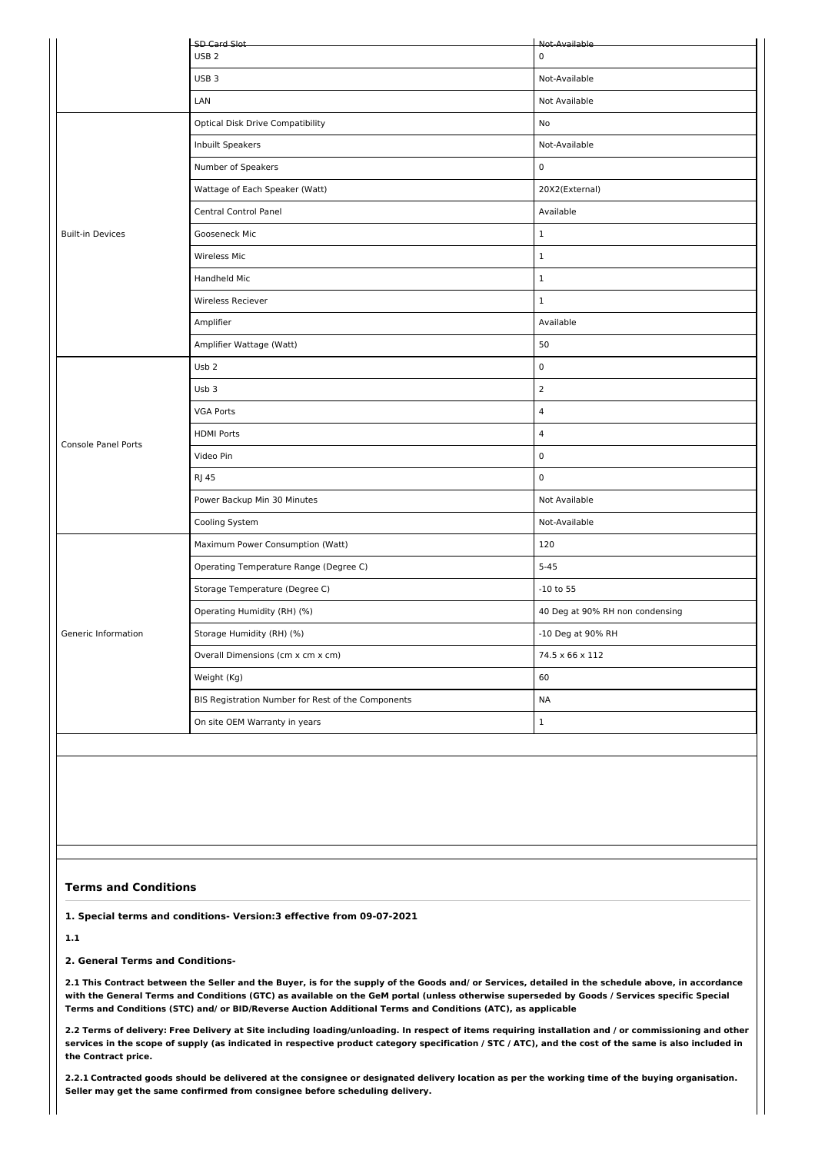|                            | SD Card Slot                                       | Not-Available                   |  |  |  |  |
|----------------------------|----------------------------------------------------|---------------------------------|--|--|--|--|
|                            | USB <sub>2</sub>                                   | $\pmb{0}$                       |  |  |  |  |
|                            | USB <sub>3</sub>                                   | Not-Available                   |  |  |  |  |
|                            | LAN                                                | Not Available                   |  |  |  |  |
|                            | <b>Optical Disk Drive Compatibility</b>            | No                              |  |  |  |  |
|                            | Inbuilt Speakers                                   | Not-Available                   |  |  |  |  |
|                            | Number of Speakers                                 | $\pmb{0}$                       |  |  |  |  |
|                            | Wattage of Each Speaker (Watt)                     | 20X2(External)                  |  |  |  |  |
|                            | Central Control Panel                              | Available                       |  |  |  |  |
| <b>Built-in Devices</b>    | Gooseneck Mic                                      | $\mathbf{1}$                    |  |  |  |  |
|                            | Wireless Mic                                       | $\mathbf{1}$                    |  |  |  |  |
|                            | Handheld Mic                                       | $\mathbf{1}$                    |  |  |  |  |
|                            | Wireless Reciever                                  | $1\,$                           |  |  |  |  |
|                            | Amplifier                                          | Available                       |  |  |  |  |
|                            | Amplifier Wattage (Watt)                           | 50                              |  |  |  |  |
|                            | Usb <sub>2</sub>                                   | $\pmb{0}$                       |  |  |  |  |
|                            | Usb <sub>3</sub>                                   | $\overline{2}$                  |  |  |  |  |
|                            | <b>VGA Ports</b>                                   | $\overline{4}$                  |  |  |  |  |
| <b>Console Panel Ports</b> | <b>HDMI Ports</b>                                  | $\overline{4}$                  |  |  |  |  |
|                            | Video Pin                                          | $\pmb{0}$                       |  |  |  |  |
|                            | <b>RJ 45</b>                                       | 0                               |  |  |  |  |
|                            | Power Backup Min 30 Minutes                        | Not Available                   |  |  |  |  |
|                            | Cooling System                                     | Not-Available                   |  |  |  |  |
|                            | Maximum Power Consumption (Watt)                   | 120                             |  |  |  |  |
|                            | Operating Temperature Range (Degree C)             | $5 - 45$                        |  |  |  |  |
|                            | Storage Temperature (Degree C)                     | $-10$ to 55                     |  |  |  |  |
|                            | Operating Humidity (RH) (%)                        | 40 Deg at 90% RH non condensing |  |  |  |  |
| Generic Information        | Storage Humidity (RH) (%)                          | -10 Deg at 90% RH               |  |  |  |  |
|                            | Overall Dimensions (cm x cm x cm)                  | 74.5 x 66 x 112                 |  |  |  |  |
|                            | Weight (Kg)                                        | 60                              |  |  |  |  |
|                            | BIS Registration Number for Rest of the Components | <b>NA</b>                       |  |  |  |  |
|                            | On site OEM Warranty in years                      | $\mathbf 1$                     |  |  |  |  |
|                            |                                                    |                                 |  |  |  |  |

## **Terms and Conditions**

**1. Special terms and conditions- Version:3 effective from 09-07-2021**

**1.1**

**2. General Terms and Conditions-**

2.1 This Contract between the Seller and the Buyer, is for the supply of the Goods and/ or Services, detailed in the schedule above, in accordance with the General Terms and Conditions (GTC) as available on the GeM portal (unless otherwise superseded by Goods / Services specific Special **Terms and Conditions (STC) and/ or BID/Reverse Auction Additional Terms and Conditions (ATC), as applicable**

2.2 Terms of delivery: Free Delivery at Site including loading/unloading. In respect of items requiring installation and / or commissioning and other services in the scope of supply (as indicated in respective product category specification / STC / ATC), and the cost of the same is also included in **the Contract price.**

2.2.1 Contracted goods should be delivered at the consignee or designated delivery location as per the working time of the buying organisation. **Seller may get the same confirmed from consignee before scheduling delivery.**